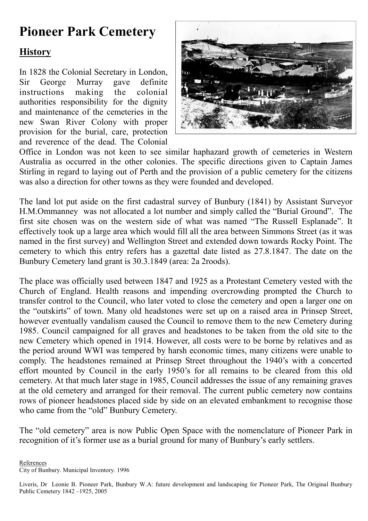# Pioneer Park Cemetery

### **History**

In 1828 the Colonial Secretary in London, Sir George Murray gave definite instructions making the colonial authorities responsibility for the dignity and maintenance of the cemeteries in the new Swan River Colony with proper provision for the burial, care, protection and reverence of the dead. The Colonial



Office in London was not keen to see similar haphazard growth of cemeteries in Western Australia as occurred in the other colonies. The specific directions given to Captain James Stirling in regard to laying out of Perth and the provision of a public cemetery for the citizens was also a direction for other towns as they were founded and developed.

The land lot put aside on the first cadastral survey of Bunbury (1841) by Assistant Surveyor H.M.Ommanney was not allocated a lot number and simply called the "Burial Ground". The first site chosen was on the western side of what was named "The Russell Esplanade". It effectively took up a large area which would fill all the area between Simmons Street (as it was named in the first survey) and Wellington Street and extended down towards Rocky Point. The cemetery to which this entry refers has a gazettal date listed as 27.8.1847. The date on the Bunbury Cemetery land grant is 30.3.1849 (area: 2a 2roods).

The place was officially used between 1847 and 1925 as a Protestant Cemetery vested with the Church of England. Health reasons and impending overcrowding prompted the Church to transfer control to the Council, who later voted to close the cemetery and open a larger one on the "outskirts" of town. Many old headstones were set up on a raised area in Prinsep Street, however eventually vandalism caused the Council to remove them to the new Cemetery during 1985. Council campaigned for all graves and headstones to be taken from the old site to the new Cemetery which opened in 1914. However, all costs were to be borne by relatives and as the period around WWI was tempered by harsh economic times, many citizens were unable to comply. The headstones remained at Prinsep Street throughout the 1940's with a concerted effort mounted by Council in the early 1950's for all remains to be cleared from this old cemetery. At that much later stage in 1985, Council addresses the issue of any remaining graves at the old cemetery and arranged for their removal. The current public cemetery now contains rows of pioneer headstones placed side by side on an elevated embankment to recognise those who came from the "old" Bunbury Cemetery.

The "old cemetery" area is now Public Open Space with the nomenclature of Pioneer Park in recognition of it's former use as a burial ground for many of Bunbury's early settlers.

References City of Bunbury. Municipal Inventory. 1996

Liveris, Dr Leonie B. Pioneer Park, Bunbury W.A: future development and landscaping for Pioneer Park, The Original Bunbury Public Cemetery 1842 –1925, 2005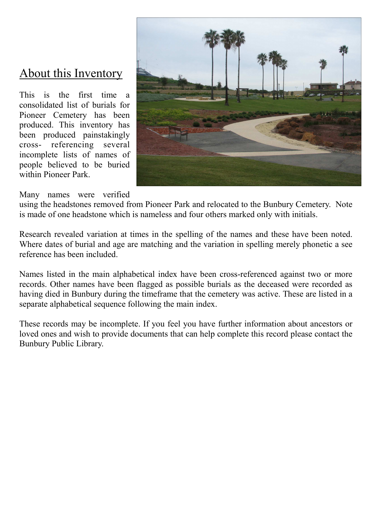### About this Inventory

This is the first time a consolidated list of burials for Pioneer Cemetery has been produced. This inventory has been produced painstakingly cross- referencing several incomplete lists of names of people believed to be buried within Pioneer Park.



Many names were verified

using the headstones removed from Pioneer Park and relocated to the Bunbury Cemetery. Note is made of one headstone which is nameless and four others marked only with initials.

Research revealed variation at times in the spelling of the names and these have been noted. Where dates of burial and age are matching and the variation in spelling merely phonetic a see reference has been included.

Names listed in the main alphabetical index have been cross-referenced against two or more records. Other names have been flagged as possible burials as the deceased were recorded as having died in Bunbury during the timeframe that the cemetery was active. These are listed in a separate alphabetical sequence following the main index.

These records may be incomplete. If you feel you have further information about ancestors or loved ones and wish to provide documents that can help complete this record please contact the Bunbury Public Library.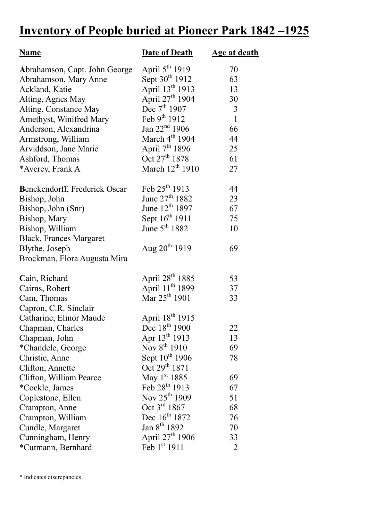## Inventory of People buried at Pioneer Park 1842 –1925

| <u>Name</u>                    | <b>Date of Death</b>        | Age at death |
|--------------------------------|-----------------------------|--------------|
| Abrahamson, Capt. John George  | April 5 <sup>th</sup> 1919  | 70           |
| Abrahamson, Mary Anne          | Sept 30 <sup>th</sup> 1912  | 63           |
| Ackland, Katie                 | April 13 <sup>th</sup> 1913 | 13           |
| Alting, Agnes May              | April $27^{\text{th}}$ 1904 | 30           |
| Alting, Constance May          | Dec $7th 1907$              | 3            |
| Amethyst, Winifred Mary        | Feb $9^{th}$ 1912           | $\mathbf{1}$ |
| Anderson, Alexandrina          | Jan $22^{nd}$ 1906          | 66           |
| Armstrong, William             | March $4th$ 1904            | 44           |
| Arviddson, Jane Marie          | April $7th 1896$            | 25           |
| Ashford, Thomas                | Oct 27 <sup>th</sup> 1878   | 61           |
| *Averey, Frank A               | March $12^{th}$ 1910        | 27           |
| Benckendorff, Frederick Oscar  | Feb 25th 1913               | 44           |
| Bishop, John                   | June $27^{th}$ 1882         | 23           |
| Bishop, John (Snr)             | June 12 <sup>th</sup> 1897  | 67           |
| Bishop, Mary                   | Sept 16 <sup>th</sup> 1911  | 75           |
| Bishop, William                | June $5th 1882$             | 10           |
| <b>Black, Frances Margaret</b> |                             |              |
| Blythe, Joseph                 | Aug $20^{th}$ 1919          | 69           |
| Brockman, Flora Augusta Mira   |                             |              |
| Cain, Richard                  | April 28 <sup>th</sup> 1885 | 53           |
| Cairns, Robert                 | April 11 <sup>th</sup> 1899 | 37           |
| Cam, Thomas                    | Mar 25 <sup>th</sup> 1901   | 33           |
| Capron, C.R. Sinclair          |                             |              |
| Catharine, Elinor Maude        | April 18 <sup>th</sup> 1915 |              |
| Chapman, Charles               | Dec 18th 1900               | 22           |
| Chapman, John                  | Apr $13^{th}$ 1913          | 13           |
| *Chandele, George              | Nov $8^{th}$ 1910           | 69           |
| Christie, Anne                 | Sept 10 <sup>th</sup> 1906  | 78           |
| Clifton, Annette               | Oct 29 <sup>th</sup> 1871   |              |
| Clifton, William Pearce        | May 1 <sup>st</sup> 1885    | 69           |
| *Cockle, James                 | Feb $28^{th}$ 1913          | 67           |
| Coplestone, Ellen              | Nov 25 <sup>th</sup> 1909   | 51           |
| Crampton, Anne                 | Oct $3^{\text{rd}}$ 1867    | 68           |
| Crampton, William              | Dec 16 <sup>th</sup> 1872   | 76           |
| Cundle, Margaret               | Jan $8^{th}$ 1892           | 70           |
| Cunningham, Henry              | April 27 <sup>th</sup> 1906 | 33           |
| *Cutmann, Bernhard             | Feb 1st 1911                | 2            |

\* Indicates discrepancies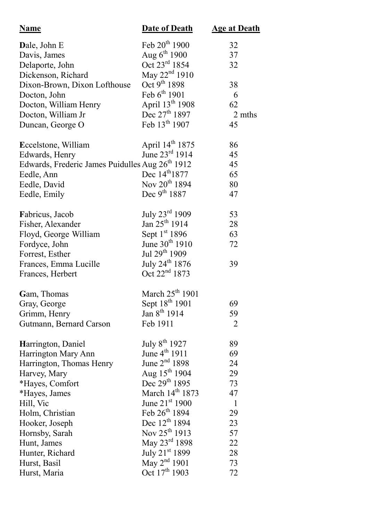| <b>Name</b>                                                 | <b>Date of Death</b>        | <b>Age at Death</b> |
|-------------------------------------------------------------|-----------------------------|---------------------|
| Dale, John E                                                | Feb 20 <sup>th</sup> 1900   | 32                  |
| Davis, James                                                | Aug $6^{th}$ 1900           | 37                  |
| Delaporte, John                                             | Oct $23^{\text{rd}}$ 1854   | 32                  |
| Dickenson, Richard                                          | May 22 <sup>nd</sup> 1910   |                     |
| Dixon-Brown, Dixon Lofthouse                                | Oct 9 <sup>th</sup> 1898    | 38                  |
| Docton, John                                                | Feb $6^{th}$ 1901           | 6                   |
| Docton, William Henry                                       | April 13 <sup>th</sup> 1908 | 62                  |
| Docton, William Jr                                          | Dec $27^{\text{th}}$ 1897   | 2 mths              |
| Duncan, George O                                            | Feb 13th 1907               | 45                  |
| Eccelstone, William                                         | April 14th 1875             | 86                  |
| Edwards, Henry                                              | June 23rd 1914              | 45                  |
| Edwards, Frederic James Puidulles Aug 26 <sup>th</sup> 1912 |                             | 45                  |
| Eedle, Ann                                                  | Dec 14 <sup>th</sup> 1877   | 65                  |
| Eedle, David                                                | Nov 20 <sup>th</sup> 1894   | 80                  |
| Eedle, Emily                                                | Dec $9^{th}$ 1887           | 47                  |
| Fabricus, Jacob                                             | July 23rd 1909              | 53                  |
| Fisher, Alexander                                           | Jan $25^{th}$ 1914          | 28                  |
| Floyd, George William                                       | Sept 1 <sup>st</sup> 1896   | 63                  |
| Fordyce, John                                               | June $30^{th}$ 1910         | 72                  |
| Forrest, Esther                                             | Jul $29^{th}$ 1909          |                     |
| Frances, Emma Lucille                                       | July 24 <sup>th</sup> 1876  | 39                  |
| Frances, Herbert                                            | Oct 22 <sup>nd</sup> 1873   |                     |
| Gam, Thomas                                                 | March $25th 1901$           |                     |
| Gray, George                                                | Sept 18 <sup>th</sup> 1901  | 69                  |
| Grimm, Henry                                                | Jan $8^{th}$ 1914           | 59                  |
| Gutmann, Bernard Carson                                     | Feb 1911                    | $\overline{2}$      |
| Harrington, Daniel                                          | July 8 <sup>th</sup> 1927   | 89                  |
| Harrington Mary Ann                                         | June 4 <sup>th</sup> 1911   | 69                  |
| Harrington, Thomas Henry                                    | June $2nd 1898$             | 24                  |
| Harvey, Mary                                                | Aug $15^{th}$ 1904          | 29                  |
| *Hayes, Comfort                                             | Dec $29^{th}$ 1895          | 73                  |
| *Hayes, James                                               | March $14th 1873$           | 47                  |
| Hill, Vic                                                   | June 21 <sup>st</sup> 1900  | $\mathbf{1}$        |
| Holm, Christian                                             | Feb $26^{th}$ 1894          | 29                  |
| Hooker, Joseph                                              | Dec 12 <sup>th</sup> 1894   | 23                  |
| Hornsby, Sarah                                              | Nov $25^{th}$ 1913          | 57                  |
| Hunt, James                                                 | May 23rd 1898               | 22                  |
| Hunter, Richard                                             | July 21 <sup>st</sup> 1899  | 28                  |
| Hurst, Basil                                                | May $2^{nd}$ 1901           | 73                  |
| Hurst, Maria                                                | Oct 17 <sup>th</sup> 1903   | 72                  |
|                                                             |                             |                     |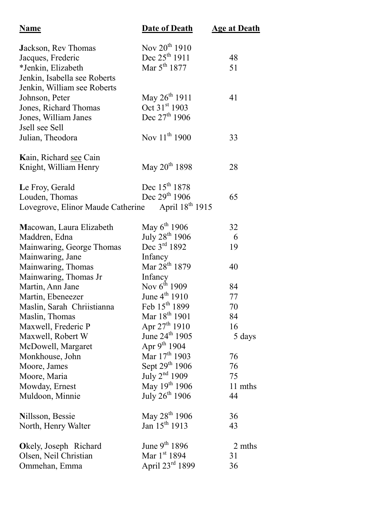| <b>Name</b>                                       | <b>Date of Death</b>        | <b>Age at Death</b> |
|---------------------------------------------------|-----------------------------|---------------------|
| Jackson, Rev Thomas                               | Nov 20 <sup>th</sup> 1910   |                     |
| Jacques, Frederic                                 | Dec $25^{th}$ 1911          | 48                  |
| *Jenkin, Elizabeth                                | Mar $5^{th}$ 1877           | 51                  |
| Jenkin, Isabella see Roberts                      |                             |                     |
| Jenkin, William see Roberts                       |                             |                     |
| Johnson, Peter                                    | May $26^{th}$ 1911          | 41                  |
| Jones, Richard Thomas                             | Oct 31st 1903               |                     |
| Jones, William Janes                              | Dec $27^{\text{th}}$ 1906   |                     |
| Jsell see Sell                                    |                             |                     |
| Julian, Theodora                                  | Nov 11 <sup>th</sup> 1900   | 33                  |
| Kain, Richard see Cain                            |                             |                     |
| Knight, William Henry                             | May 20 <sup>th</sup> 1898   | 28                  |
| Le Froy, Gerald                                   | Dec 15 <sup>th</sup> 1878   |                     |
| Louden, Thomas                                    | Dec $29^{th}$ 1906          | 65                  |
| Lovegrove, Elinor Maude Catherine April 18th 1915 |                             |                     |
|                                                   |                             |                     |
| Macowan, Laura Elizabeth                          | May $6^{th}$ 1906           | 32                  |
| Maddren, Edna                                     | July 28 <sup>th</sup> 1906  | 6                   |
| Mainwaring, George Thomas                         | Dec 3rd 1892                | 19                  |
| Mainwaring, Jane                                  | Infancy                     |                     |
| Mainwaring, Thomas                                | Mar 28 <sup>th</sup> 1879   | 40                  |
| Mainwaring, Thomas Jr                             | Infancy                     |                     |
| Martin, Ann Jane                                  | Nov $6^{th}$ 1909           | 84                  |
| Martin, Ebeneezer                                 | June $4^{th}$ 1910          | 77                  |
| Maslin, Sarah Chriistianna                        | Feb $15^{th}$ 1899          | 70                  |
| Maslin, Thomas                                    | Mar 18 <sup>th</sup> 1901   | 84                  |
| Maxwell, Frederic P                               | Apr $27^{\text{th}}$ 1910   | 16                  |
| Maxwell, Robert W                                 | June 24 <sup>th</sup> 1905  | 5 days              |
| McDowell, Margaret                                | Apr $9^{th}$ 1904           |                     |
| Monkhouse, John                                   | Mar $17^{th}$ 1903          | 76                  |
| Moore, James                                      | Sept 29th 1906              | 76                  |
| Moore, Maria                                      | July $2nd$ 1909             | 75                  |
| Mowday, Ernest                                    | May 19th 1906               | 11 mths             |
| Muldoon, Minnie                                   | July $26^{th}$ 1906         | 44                  |
| Nillsson, Bessie                                  | May 28 <sup>th</sup> 1906   | 36                  |
| North, Henry Walter                               | Jan 15 <sup>th</sup> 1913   | 43                  |
|                                                   | June $9^{th}$ 1896          | 2 mths              |
| Okely, Joseph Richard                             | Mar $1st 1894$              | 31                  |
| Olsen, Neil Christian                             | April $23^{\text{rd}}$ 1899 | 36                  |
| Ommehan, Emma                                     |                             |                     |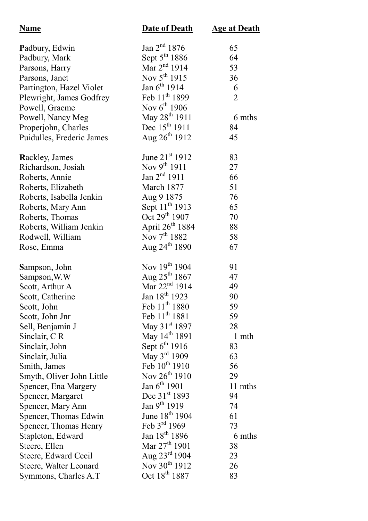| <b>Name</b>               | <b>Date of Death</b>       | <u>Age at Death</u> |
|---------------------------|----------------------------|---------------------|
| Padbury, Edwin            | Jan $2^{nd}$ 1876          | 65                  |
| Padbury, Mark             | Sept 5 <sup>th</sup> 1886  | 64                  |
| Parsons, Harry            | Mar $2^{nd}$ 1914          | 53                  |
| Parsons, Janet            | Nov $5^{th}$ 1915          | 36                  |
| Partington, Hazel Violet  | Jan $6^{th}$ 1914          | 6                   |
| Plewright, James Godfrey  | Feb 11 <sup>th</sup> 1899  | $\overline{2}$      |
| Powell, Graeme            | Nov $6^{th}$ 1906          |                     |
| Powell, Nancy Meg         | May $28^{th}$ 1911         | 6 mths              |
| Properjohn, Charles       | Dec $15^{th}$ 1911         | 84                  |
| Puidulles, Frederic James | Aug $26^{th}$ 1912         | 45                  |
| Rackley, James            | June $21^{st}$ 1912        | 83                  |
| Richardson, Josiah        | Nov $9^{th}$ 1911          | 27                  |
| Roberts, Annie            | Jan $2^{nd}$ 1911          | 66                  |
| Roberts, Elizabeth        | March 1877                 | 51                  |
| Roberts, Isabella Jenkin  | Aug 9 1875                 | 76                  |
| Roberts, Mary Ann         | Sept 11 <sup>th</sup> 1913 | 65                  |
| Roberts, Thomas           | Oct $29^{th}$ 1907         | 70                  |
| Roberts, William Jenkin   | April $26^{th}$ 1884       | 88                  |
| Rodwell, William          | Nov $7^{th}$ 1882          | 58                  |
| Rose, Emma                | Aug $24^{\text{th}}$ 1890  | 67                  |
| Sampson, John             | Nov $19^{th}$ 1904         | 91                  |
| Sampson, W.W              | Aug $25^{th}$ 1867         | 47                  |
| Scott, Arthur A           | Mar $22^{nd}$ 1914         | 49                  |
| Scott, Catherine          | Jan 18 <sup>th</sup> 1923  | 90                  |
| Scott, John               | Feb $11^{th}$ 1880         | 59                  |
| Scott, John Jnr           | Feb 11 <sup>th</sup> 1881  | 59                  |
| Sell, Benjamin J          | May 31 <sup>st</sup> 1897  | 28                  |
| Sinclair, CR              | May 14 <sup>th</sup> 1891  | 1 mth               |
| Sinclair, John            | Sept $6^{th}$ 1916         | 83                  |
| Sinclair, Julia           | May $3^{\text{rd}}$ 1909   | 63                  |
| Smith, James              | Feb $10^{th}$ 1910         | 56                  |
| Smyth, Oliver John Little | Nov $26^{th}$ 1910         | 29                  |
| Spencer, Ena Margery      | Jan $6^{th}$ 1901          | 11 mths             |
| Spencer, Margaret         | Dec 31 <sup>st</sup> 1893  | 94                  |
| Spencer, Mary Ann         | Jan 9 <sup>th</sup> 1919   | 74                  |
| Spencer, Thomas Edwin     | June 18 <sup>th</sup> 1904 | 61                  |
| Spencer, Thomas Henry     | Feb $3^{rd}$ 1969          | 73                  |
| Stapleton, Edward         | Jan $18^{th}$ 1896         | 6 mths              |
| Steere, Ellen             | Mar $27th 1901$            | 38                  |
| Steere, Edward Cecil      | Aug $23^{\text{rd}} 1904$  | 23                  |
| Steere, Walter Leonard    | Nov 30 <sup>th</sup> 1912  | 26                  |
| Symmons, Charles A.T      | Oct 18 <sup>th</sup> 1887  | 83                  |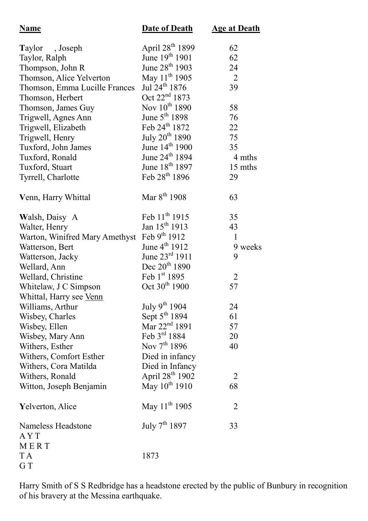| <b>Name</b>                      | <b>Date of Death</b>        | <b>Age at Death</b> |
|----------------------------------|-----------------------------|---------------------|
| Taylor, Joseph                   | April 28 <sup>th</sup> 1899 | 62                  |
| Taylor, Ralph                    | June $19^{th}$ 1901         | 62                  |
| Thompson, John R                 | June 28 <sup>th</sup> 1903  | 24                  |
| Thomson, Alice Yelverton         | May 11 <sup>th</sup> 1905   | $\overline{2}$      |
| Thomson, Emma Lucille Frances    | Jul 24 <sup>th</sup> 1876   | 39                  |
| Thomson, Herbert                 | Oct $22^{nd}$ 1873          |                     |
| Thomson, James Guy               | Nov 10 <sup>th</sup> 1890   | 58                  |
| Trigwell, Agnes Ann              | June $5th 1898$             | 76                  |
| Trigwell, Elizabeth              | Feb $24^{th}$ 1872          | 22                  |
| Trigwell, Henry                  | July 20 <sup>th</sup> 1890  | 75                  |
| Tuxford, John James              | June 14 <sup>th</sup> 1900  | 35                  |
| Tuxford, Ronald                  | June 24 <sup>th</sup> 1894  | 4 mths              |
| Tuxford, Stuart                  | June 18 <sup>th</sup> 1897  | 15 mths             |
| Tyrrell, Charlotte               | Feb $28^{th}$ 1896          | 29                  |
| Venn, Harry Whittal              | Mar 8 <sup>th</sup> 1908    | 63                  |
| Walsh, Daisy A                   | Feb $11^{th}$ 1915          | 35                  |
| Walter, Henry                    | Jan $15^{th}$ 1913          | 43                  |
| Warton, Winifred Mary Amethyst   | Feb $9^{th}$ 1912           | $\mathbf{1}$        |
| Watterson, Bert                  | June $4^{th}$ 1912          | 9 weeks             |
| Watterson, Jacky                 | June $23^{rd}$ 1911         | 9                   |
| Wellard, Ann                     | Dec $20^{th}$ 1890          |                     |
| Wellard, Christine               | Feb 1st 1895                | $\overline{2}$      |
| Whitelaw, J C Simpson            | Oct $30^{th}$ 1900          | 57                  |
| Whittal, Harry see Venn          |                             |                     |
| Williams, Arthur                 | July 9th $1904$             | 24                  |
| Wisbey, Charles                  | Sept $5^{\text{th}}$ 1894   | 61                  |
| Wisbey, Ellen                    | Mar 22 <sup>nd</sup> 1891   | 57                  |
| Wisbey, Mary Ann                 | Feb $3rd 1884$              | 20                  |
| Withers, Esther                  | Nov $7^{th}$ 1896           | 40                  |
| Withers, Comfort Esther          | Died in infancy             |                     |
| Withers, Cora Matilda            | Died in Infancy             |                     |
| Withers, Ronald                  | April 28 <sup>th</sup> 1902 | $\overline{2}$      |
| Witton, Joseph Benjamin          | May 10 <sup>th</sup> 1910   | 68                  |
| <b>Yelverton</b> , Alice         | May 11 <sup>th</sup> 1905   | $\overline{2}$      |
| Nameless Headstone<br><b>AYT</b> | July $7^{th}$ 1897          | 33                  |
| MERT                             |                             |                     |
| T A<br>GT                        | 1873                        |                     |

Harry Smith of S S Redbridge has a headstone erected by the public of Bunbury in recognition of his bravery at the Messina earthquake.